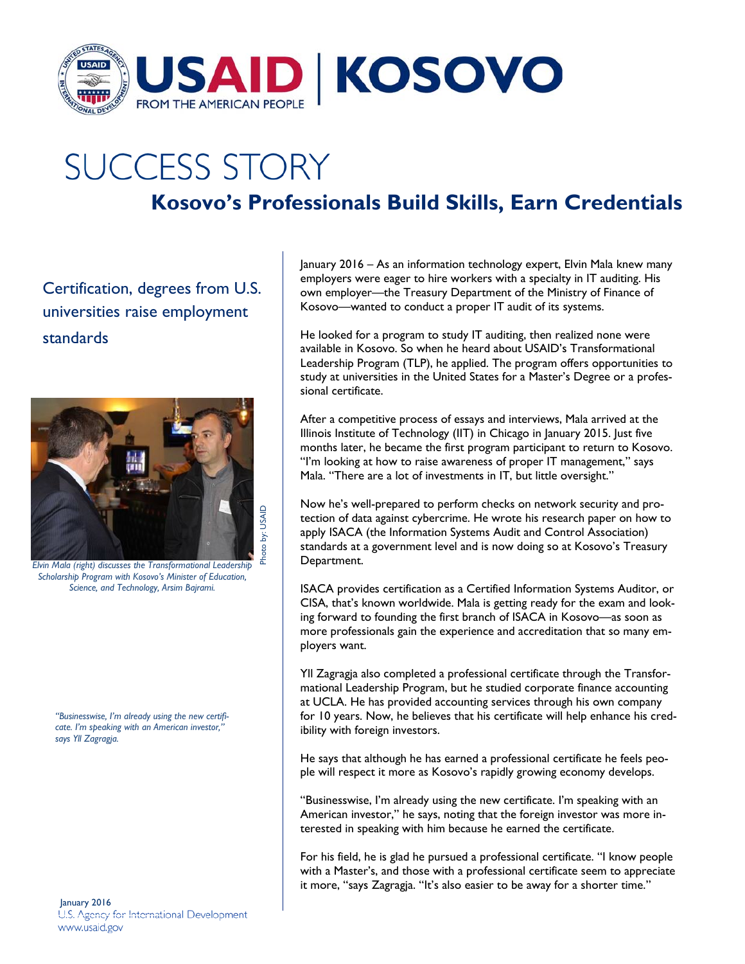

## **SUCCESS STORY**

## **Kosovo's Professionals Build Skills, Earn Credentials**

Certification, degrees from U.S. universities raise employment standards



*Elvin Mala (right) discusses the Transformational Leadership Scholarship Program with Kosovo's Minister of Education, Science, and Technology, Arsim Bajrami.* 

*"Businesswise, I'm already using the new certificate. I'm speaking with an American investor," says Yll Zagragja.* 

January 2016<br>U.S. Agency for International Development www.usaid.gov

January 2016 – As an information technology expert, Elvin Mala knew many employers were eager to hire workers with a specialty in IT auditing. His own employer—the Treasury Department of the Ministry of Finance of Kosovo—wanted to conduct a proper IT audit of its systems.

He looked for a program to study IT auditing, then realized none were available in Kosovo. So when he heard about USAID's Transformational Leadership Program (TLP), he applied. The program offers opportunities to study at universities in the United States for a Master's Degree or a professional certificate.

After a competitive process of essays and interviews, Mala arrived at the Illinois Institute of Technology (IIT) in Chicago in January 2015. Just five months later, he became the first program participant to return to Kosovo. "I'm looking at how to raise awareness of proper IT management," says Mala. "There are a lot of investments in IT, but little oversight."

Now he's well-prepared to perform checks on network security and protection of data against cybercrime. He wrote his research paper on how to apply ISACA (the Information Systems Audit and Control Association) standards at a government level and is now doing so at Kosovo's Treasury Department.

ISACA provides certification as a Certified Information Systems Auditor, or CISA, that's known worldwide. Mala is getting ready for the exam and looking forward to founding the first branch of ISACA in Kosovo—as soon as more professionals gain the experience and accreditation that so many employers want.

Yll Zagragja also completed a professional certificate through the Transformational Leadership Program, but he studied corporate finance accounting at UCLA. He has provided accounting services through his own company for 10 years. Now, he believes that his certificate will help enhance his credibility with foreign investors.

He says that although he has earned a professional certificate he feels people will respect it more as Kosovo's rapidly growing economy develops.

"Businesswise, I'm already using the new certificate. I'm speaking with an American investor," he says, noting that the foreign investor was more interested in speaking with him because he earned the certificate.

For his field, he is glad he pursued a professional certificate. "I know people with a Master's, and those with a professional certificate seem to appreciate it more, "says Zagragja. "It's also easier to be away for a shorter time."